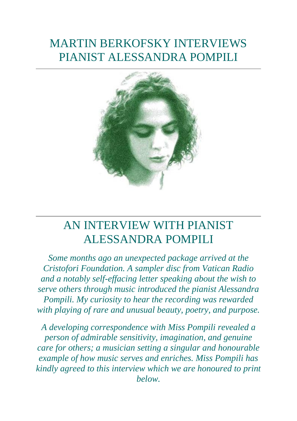# MARTIN BERKOFSKY INTERVIEWS PIANIST ALESSANDRA POMPILI



## AN INTERVIEW WITH PIANIST ALESSANDRA POMPILI

*Some months ago an unexpected package arrived at the Cristofori Foundation. A sampler disc from Vatican Radio and a notably self-effacing letter speaking about the wish to serve others through music introduced the pianist Alessandra Pompili. My curiosity to hear the recording was rewarded with playing of rare and unusual beauty, poetry, and purpose.* 

*A developing correspondence with Miss Pompili revealed a person of admirable sensitivity, imagination, and genuine care for others; a musician setting a singular and honourable example of how music serves and enriches. Miss Pompili has kindly agreed to this interview which we are honoured to print below.*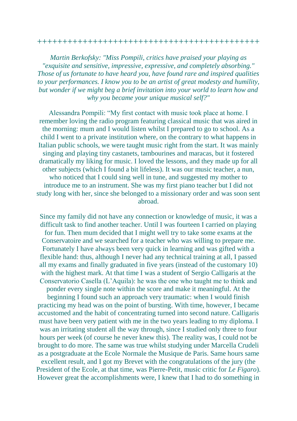#### ++++++++++++++++++++++++++++++++++++++++++++

*Martin Berkofsky: "Miss Pompili, critics have praised your playing as "exquisite and sensitive, impressive, expressive, and completely absorbing." Those of us fortunate to have heard you, have found rare and inspired qualities to your performances. I know you to be an artist of great modesty and humility, but wonder if we might beg a brief invitation into your world to learn how and why you became your unique musical self?"* 

Alessandra Pompili: "My first contact with music took place at home. I remember loving the radio program featuring classical music that was aired in the morning: mum and I would listen whilst I prepared to go to school. As a child I went to a private institution where, on the contrary to what happens in Italian public schools, we were taught music right from the start. It was mainly singing and playing tiny castanets, tambourines and maracas, but it fostered dramatically my liking for music. I loved the lessons, and they made up for all other subjects (which I found a bit lifeless). It was our music teacher, a nun, who noticed that I could sing well in tune, and suggested my mother to introduce me to an instrument. She was my first piano teacher but I did not study long with her, since she belonged to a missionary order and was soon sent abroad.

Since my family did not have any connection or knowledge of music, it was a difficult task to find another teacher. Until I was fourteen I carried on playing for fun. Then mum decided that I might well try to take some exams at the Conservatoire and we searched for a teacher who was willing to prepare me. Fortunately I have always been very quick in learning and was gifted with a flexible hand: thus, although I never had any technical training at all, I passed all my exams and finally graduated in five years (instead of the customary 10) with the highest mark. At that time I was a student of Sergio Calligaris at the Conservatorio Casella (L'Aquila): he was the one who taught me to think and ponder every single note within the score and make it meaningful. At the

beginning I found such an approach very traumatic: when I would finish practicing my head was on the point of bursting. With time, however, I became accustomed and the habit of concentrating turned into second nature. Calligaris must have been very patient with me in the two years leading to my diploma. I was an irritating student all the way through, since I studied only three to four hours per week (of course he never knew this). The reality was, I could not be brought to do more. The same was true whilst studying under Marcella Crudeli as a postgraduate at the Ecole Normale the Musique de Paris. Same hours same excellent result, and I got my Brevet with the congratulations of the jury (the President of the Ecole, at that time, was Pierre-Petit, music critic for *Le Figaro*). However great the accomplishments were, I knew that I had to do something in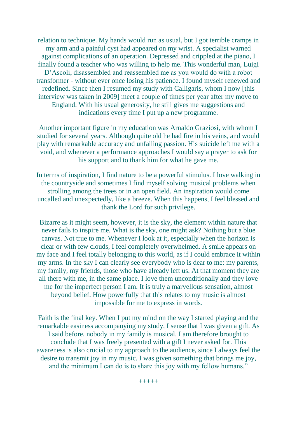relation to technique. My hands would run as usual, but I got terrible cramps in my arm and a painful cyst had appeared on my wrist. A specialist warned against complications of an operation. Depressed and crippled at the piano, I finally found a teacher who was willing to help me. This wonderful man, Luigi D'Ascoli, disassembled and reassembled me as you would do with a robot transformer - without ever once losing his patience. I found myself renewed and redefined. Since then I resumed my study with Calligaris, whom I now [this interview was taken in 2009] meet a couple of times per year after my move to England. With his usual generosity, he still gives me suggestions and indications every time I put up a new programme.

Another important figure in my education was Arnaldo Graziosi, with whom I studied for several years. Although quite old he had fire in his veins, and would play with remarkable accuracy and unfailing passion. His suicide left me with a void, and whenever a performance approaches I would say a prayer to ask for his support and to thank him for what he gave me.

In terms of inspiration, I find nature to be a powerful stimulus. I love walking in the countryside and sometimes I find myself solving musical problems when strolling among the trees or in an open field. An inspiration would come uncalled and unexpectedly, like a breeze. When this happens, I feel blessed and thank the Lord for such privilege.

Bizarre as it might seem, however, it is the sky, the element within nature that never fails to inspire me. What is the sky, one might ask? Nothing but a blue canvas. Not true to me. Whenever I look at it, especially when the horizon is clear or with few clouds, I feel completely overwhelmed. A smile appears on my face and I feel totally belonging to this world, as if I could embrace it within my arms. In the sky I can clearly see everybody who is dear to me: my parents, my family, my friends, those who have already left us. At that moment they are all there with me, in the same place. I love them unconditionally and they love me for the imperfect person I am. It is truly a marvellous sensation, almost beyond belief. How powerfully that this relates to my music is almost impossible for me to express in words.

Faith is the final key. When I put my mind on the way I started playing and the remarkable easiness accompanying my study, I sense that I was given a gift. As I said before, nobody in my family is musical. I am therefore brought to conclude that I was freely presented with a gift I never asked for. This awareness is also crucial to my approach to the audience, since I always feel the desire to transmit joy in my music. I was given something that brings me joy, and the minimum I can do is to share this joy with my fellow humans."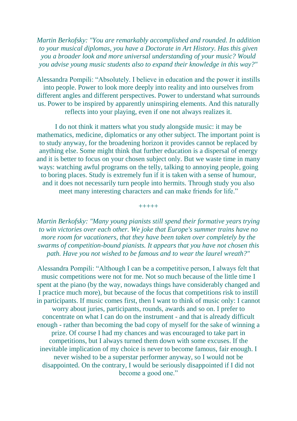*Martin Berkofsky: "You are remarkably accomplished and rounded. In addition to your musical diplomas, you have a Doctorate in Art History. Has this given you a broader look and more universal understanding of your music? Would you advise young music students also to expand their knowledge in this way?"* 

Alessandra Pompili: "Absolutely. I believe in education and the power it instills into people. Power to look more deeply into reality and into ourselves from different angles and different perspectives. Power to understand what surrounds us. Power to be inspired by apparently uninspiring elements. And this naturally reflects into your playing, even if one not always realizes it.

I do not think it matters what you study alongside music: it may be mathematics, medicine, diplomatics or any other subject. The important point is to study anyway, for the broadening horizon it provides cannot be replaced by anything else. Some might think that further education is a dispersal of energy and it is better to focus on your chosen subject only. But we waste time in many ways: watching awful programs on the telly, talking to annoying people, going to boring places. Study is extremely fun if it is taken with a sense of humour, and it does not necessarily turn people into hermits. Through study you also meet many interesting characters and can make friends for life."

+++++

*Martin Berkofsky: "Many young pianists still spend their formative years trying to win victories over each other. We joke that Europe's summer trains have no more room for vacationers, that they have been taken over completely by the swarms of competition-bound pianists. It appears that you have not chosen this path. Have you not wished to be famous and to wear the laurel wreath?"* 

Alessandra Pompili: "Although I can be a competitive person, I always felt that music competitions were not for me. Not so much because of the little time I spent at the piano (by the way, nowadays things have considerably changed and I practice much more), but because of the focus that competitions risk to instill in participants. If music comes first, then I want to think of music only: I cannot worry about juries, participants, rounds, awards and so on. I prefer to concentrate on what I can do on the instrument - and that is already difficult enough - rather than becoming the bad copy of myself for the sake of winning a prize. Of course I had my chances and was encouraged to take part in competitions, but I always turned them down with some excuses. If the inevitable implication of my choice is never to become famous, fair enough. I never wished to be a superstar performer anyway, so I would not be disappointed. On the contrary, I would be seriously disappointed if I did not become a good one."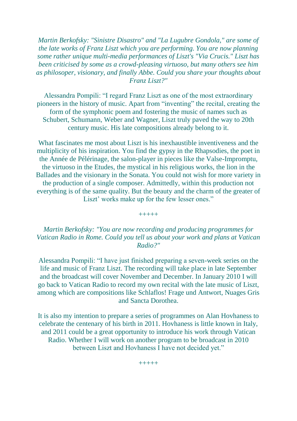*Martin Berkofsky: "Sinistre Disastro" and "La Lugubre Gondola," are some of the late works of Franz Liszt which you are performing. You are now planning some rather unique multi-media performances of Liszt's "Via Crucis." Liszt has been criticised by some as a crowd-pleasing virtuoso, but many others see him as philosoper, visionary, and finally Abbe. Could you share your thoughts about Franz Liszt?"* 

Alessandra Pompili: "I regard Franz Liszt as one of the most extraordinary pioneers in the history of music. Apart from "inventing" the recital, creating the form of the symphonic poem and fostering the music of names such as Schubert, Schumann, Weber and Wagner, Liszt truly paved the way to 20th century music. His late compositions already belong to it.

What fascinates me most about Liszt is his inexhaustible inventiveness and the multiplicity of his inspiration. You find the gypsy in the Rhapsodies, the poet in the Année de Pélérinage, the salon-player in pieces like the Valse-Impromptu, the virtuoso in the Etudes, the mystical in his religious works, the lion in the Ballades and the visionary in the Sonata. You could not wish for more variety in the production of a single composer. Admittedly, within this production not everything is of the same quality. But the beauty and the charm of the greater of Liszt' works make up for the few lesser ones."

+++++

### *Martin Berkofsky: "You are now recording and producing programmes for Vatican Radio in Rome. Could you tell us about your work and plans at Vatican Radio?"*

Alessandra Pompili: "I have just finished preparing a seven-week series on the life and music of Franz Liszt. The recording will take place in late September and the broadcast will cover November and December. In January 2010 I will go back to Vatican Radio to record my own recital with the late music of Liszt, among which are compositions like Schlaflos! Frage und Antwort, Nuages Gris and Sancta Dorothea.

It is also my intention to prepare a series of programmes on Alan Hovhaness to celebrate the centenary of his birth in 2011. Hovhaness is little known in Italy, and 2011 could be a great opportunity to introduce his work through Vatican Radio. Whether I will work on another program to be broadcast in 2010 between Liszt and Hovhaness I have not decided yet."

+++++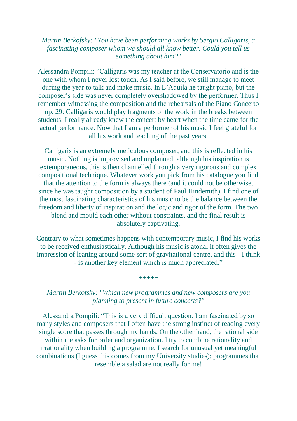#### *Martin Berkofsky: "You have been performing works by Sergio Calligaris, a fascinating composer whom we should all know better. Could you tell us something about him?"*

Alessandra Pompili: "Calligaris was my teacher at the Conservatorio and is the one with whom I never lost touch. As I said before, we still manage to meet during the year to talk and make music. In L'Aquila he taught piano, but the composer's side was never completely overshadowed by the performer. Thus I remember witnessing the composition and the rehearsals of the Piano Concerto op. 29: Calligaris would play fragments of the work in the breaks between students. I really already knew the concert by heart when the time came for the actual performance. Now that I am a performer of his music I feel grateful for all his work and teaching of the past years.

Calligaris is an extremely meticulous composer, and this is reflected in his music. Nothing is improvised and unplanned: although his inspiration is extemporaneous, this is then channelled through a very rigorous and complex compositional technique. Whatever work you pick from his catalogue you find that the attention to the form is always there (and it could not be otherwise, since he was taught composition by a student of Paul Hindemith). I find one of the most fascinating characteristics of his music to be the balance between the freedom and liberty of inspiration and the logic and rigor of the form. The two blend and mould each other without constraints, and the final result is absolutely captivating.

Contrary to what sometimes happens with contemporary music, I find his works to be received enthusiastically. Although his music is atonal it often gives the impression of leaning around some sort of gravitational centre, and this - I think - is another key element which is much appreciated."

+++++

### *Martin Berkofsky: "Which new programmes and new composers are you planning to present in future concerts?"*

Alessandra Pompili: "This is a very difficult question. I am fascinated by so many styles and composers that I often have the strong instinct of reading every single score that passes through my hands. On the other hand, the rational side within me asks for order and organization. I try to combine rationality and irrationality when building a programme. I search for unusual yet meaningful combinations (I guess this comes from my University studies); programmes that resemble a salad are not really for me!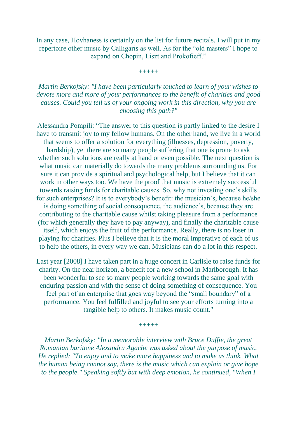In any case, Hovhaness is certainly on the list for future recitals. I will put in my repertoire other music by Calligaris as well. As for the "old masters" I hope to expand on Chopin, Liszt and Prokofieff."

+++++

*Martin Berkofsky: "I have been particularly touched to learn of your wishes to devote more and more of your performances to the benefit of charities and good causes. Could you tell us of your ongoing work in this direction, why you are choosing this path?"* 

Alessandra Pompili: "The answer to this question is partly linked to the desire I have to transmit joy to my fellow humans. On the other hand, we live in a world that seems to offer a solution for everything (illnesses, depression, poverty, hardship), yet there are so many people suffering that one is prone to ask whether such solutions are really at hand or even possible. The next question is what music can materially do towards the many problems surrounding us. For sure it can provide a spiritual and psychological help, but I believe that it can work in other ways too. We have the proof that music is extremely successful towards raising funds for charitable causes. So, why not investing one's skills for such enterprises? It is to everybody's benefit: the musician's, because he/she is doing something of social consequence, the audience's, because they are contributing to the charitable cause whilst taking pleasure from a performance (for which generally they have to pay anyway), and finally the charitable cause itself, which enjoys the fruit of the performance. Really, there is no loser in playing for charities. Plus I believe that it is the moral imperative of each of us to help the others, in every way we can. Musicians can do a lot in this respect.

Last year [2008] I have taken part in a huge concert in Carlisle to raise funds for charity. On the near horizon, a benefit for a new school in Marlborough. It has been wonderful to see so many people working towards the same goal with enduring passion and with the sense of doing something of consequence. You feel part of an enterprise that goes way beyond the "small boundary" of a performance. You feel fulfilled and joyful to see your efforts turning into a tangible help to others. It makes music count."

+++++

*Martin Berkofsky: "In a memorable interview with Bruce Duffie, the great Romanian baritone Alexandru Agache was asked about the purpose of music. He replied: "To enjoy and to make more happiness and to make us think. What the human being cannot say, there is the music which can explain or give hope to the people." Speaking softly but with deep emotion, he continued, "When I*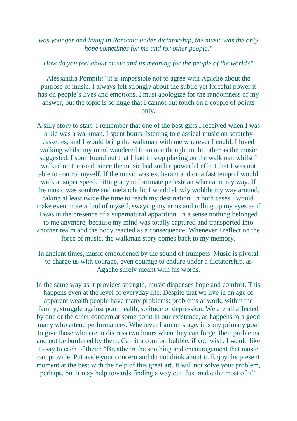#### *was younger and living in Romania under dictatorship, the music was the only hope sometimes for me and for other people."*

#### *How do you feel about music and its meaning for the people of the world?"*

Alessandra Pompili: "It is impossible not to agree with Agache about the purpose of music. I always felt strongly about the subtle yet forceful power it has on people's lives and emotions. I must apologize for the randomness of my answer, but the topic is so huge that I cannot but touch on a couple of points only.

A silly story to start: I remember that one of the best gifts I received when I was a kid was a walkman. I spent hours listening to classical music on scratchy cassettes, and I would bring the walkman with me wherever I could. I loved walking whilst my mind wandered from one thought to the other as the music suggested. I soon found out that I had to stop playing on the walkman whilst I walked on the road, since the music had such a powerful effect that I was not able to control myself. If the music was exuberant and on a fast tempo I would walk at super speed, hitting any unfortunate pedestrian who came my way. If the music was sombre and melancholic I would slowly wobble my way around, taking at least twice the time to reach my destination. In both cases I would make even more a fool of myself, swaying my arms and rolling up my eyes as if I was in the presence of a supernatural apparition. In a sense nothing belonged to me anymore, because my mind was totally captured and transported into another realm and the body reacted as a consequence. Whenever I reflect on the force of music, the walkman story comes back to my memory.

In ancient times, music emboldened by the sound of trumpets. Music is pivotal to charge us with courage, even courage to endure under a dictatorship, as Agache surely meant with his words.

In the same way as it provides strength, music dispenses hope and comfort. This happens even at the level of everyday life. Despite that we live in an age of apparent wealth people have many problems: problems at work, within the family, struggle against poor health, solitude or depression. We are all affected by one or the other concern at some point in our existence, as happens to a good many who attend performances. Whenever I am on stage, it is my primary goal to give those who are in distress two hours when they can forget their problems and not be burdened by them. Call it a comfort bubble, if you wish. I would like to say to each of them: "Breathe in the soothing and encouragement that music can provide. Put aside your concern and do not think about it. Enjoy the present moment at the best with the help of this great art. It will not solve your problem, perhaps, but it may help towards finding a way out. Just make the most of it".